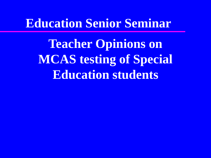#### **Education Senior Seminar**

**Teacher Opinions on MCAS testing of Special Education students**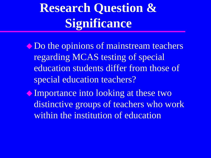# **Research Question & Significance**

 $\bullet$  Do the opinions of mainstream teachers regarding MCAS testing of special education students differ from those of special education teachers?

Importance into looking at these two distinctive groups of teachers who work within the institution of education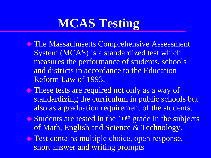# **MCAS Testing**

- **The Massachusetts Comprehensive Assessment** System (MCAS) is a standardized test which measures the performance of students, schools and districts in accordance to the Education Reform Law of 1993.
- These tests are required not only as a way of standardizing the curriculum in public schools but also as a graduation requirement of the students.
- $\triangle$  Students are tested in the 10<sup>th</sup> grade in the subjects of Math, English and Science & Technology.
- **Test contains multiple choice, open response,** short answer and writing prompts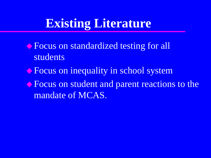### **Existing Literature**

◆ Focus on standardized testing for all students

- **Example 2 Focus on inequality in school system**
- **Example 1 Franchish Student and parent reactions to the** mandate of MCAS.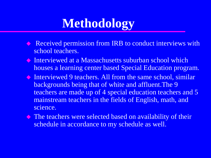## **Methodology**

- Received permission from IRB to conduct interviews with school teachers.
- Interviewed at a Massachusetts suburban school which houses a learning center based Special Education program.
- Interviewed 9 teachers. All from the same school, similar backgrounds being that of white and affluent.The 9 teachers are made up of 4 special education teachers and 5 mainstream teachers in the fields of English, math, and science.
- The teachers were selected based on availability of their schedule in accordance to my schedule as well.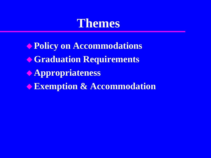#### **Themes**

**Policy on Accommodations Graduation Requirements Appropriateness Exemption & Accommodation**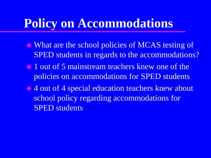### **Policy on Accommodations**

- What are the school policies of MCAS testing of SPED students in regards to the accommodations?
- 1 out of 5 mainstream teachers knew one of the policies on accommodations for SPED students
- ◆ 4 out of 4 special education teachers knew about school policy regarding accommodations for SPED students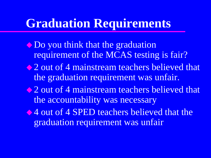### **Graduation Requirements**

• Do you think that the graduation requirement of the MCAS testing is fair? • 2 out of 4 mainstream teachers believed that the graduation requirement was unfair. 2 out of 4 mainstream teachers believed that the accountability was necessary  $\triangle$  4 out of 4 SPED teachers believed that the graduation requirement was unfair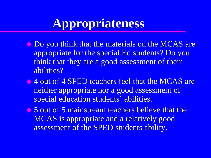## **Appropriateness**

- $\bullet$  Do you think that the materials on the MCAS are appropriate for the special Ed students? Do you think that they are a good assessment of their abilities?
- ◆ 4 out of 4 SPED teachers feel that the MCAS are neither appropriate nor a good assessment of special education students' abilities.
- 5 out of 5 mainstream teachers believe that the MCAS is appropriate and a relatively good assessment of the SPED students ability.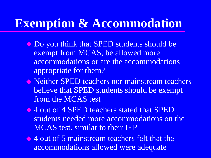### **Exemption & Accommodation**

- $\bullet$  Do you think that SPED students should be exempt from MCAS, be allowed more accommodations or are the accommodations appropriate for them?
- Neither SPED teachers nor mainstream teachers believe that SPED students should be exempt from the MCAS test
- 4 out of 4 SPED teachers stated that SPED students needed more accommodations on the MCAS test, similar to their IEP

4 out of 5 mainstream teachers felt that the accommodations allowed were adequate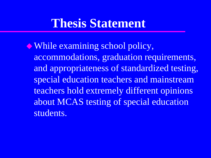#### **Thesis Statement**

While examining school policy, accommodations, graduation requirements, and appropriateness of standardized testing, special education teachers and mainstream teachers hold extremely different opinions about MCAS testing of special education students.